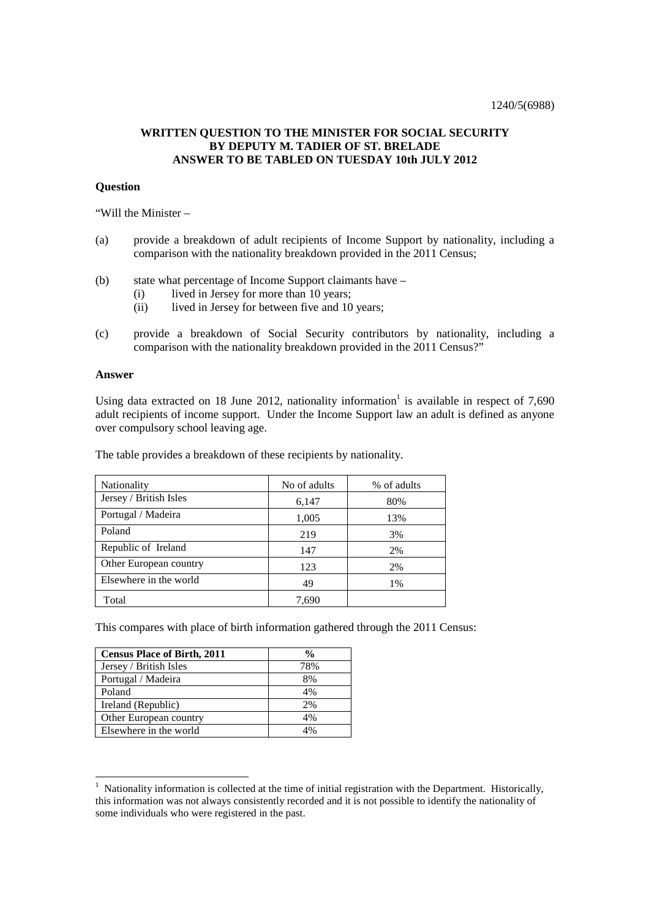## **WRITTEN QUESTION TO THE MINISTER FOR SOCIAL SECURITY BY DEPUTY M. TADIER OF ST. BRELADE ANSWER TO BE TABLED ON TUESDAY 10th JULY 2012**

## **Question**

"Will the Minister –

- (a) provide a breakdown of adult recipients of Income Support by nationality, including a comparison with the nationality breakdown provided in the 2011 Census;
- (b) state what percentage of Income Support claimants have
	- (i) lived in Jersey for more than 10 years;<br>(ii) lived in Jersey for between five and 10
	- lived in Jersey for between five and 10 years;
- (c) provide a breakdown of Social Security contributors by nationality, including a comparison with the nationality breakdown provided in the 2011 Census?"

## **Answer**

Using data extracted on 18 June 2012, nationality information<sup>1</sup> is available in respect of  $7,690$ adult recipients of income support. Under the Income Support law an adult is defined as anyone over compulsory school leaving age.

The table provides a breakdown of these recipients by nationality.

| Nationality            | No of adults | % of adults |
|------------------------|--------------|-------------|
| Jersey / British Isles | 6,147        | 80%         |
| Portugal / Madeira     | 1,005        | 13%         |
| Poland                 | 219          | 3%          |
| Republic of Ireland    | 147          | 2%          |
| Other European country | 123          | 2%          |
| Elsewhere in the world | 49           | 1%          |
| Total                  | 7,690        |             |

This compares with place of birth information gathered through the 2011 Census:

| <b>Census Place of Birth, 2011</b> | $\frac{0}{0}$ |
|------------------------------------|---------------|
| Jersey / British Isles             | 78%           |
| Portugal / Madeira                 | 8%            |
| Poland                             | 4%            |
| Ireland (Republic)                 | 2%            |
| Other European country             | 4%            |
| Elsewhere in the world             | 4%            |

 1 Nationality information is collected at the time of initial registration with the Department. Historically, this information was not always consistently recorded and it is not possible to identify the nationality of some individuals who were registered in the past.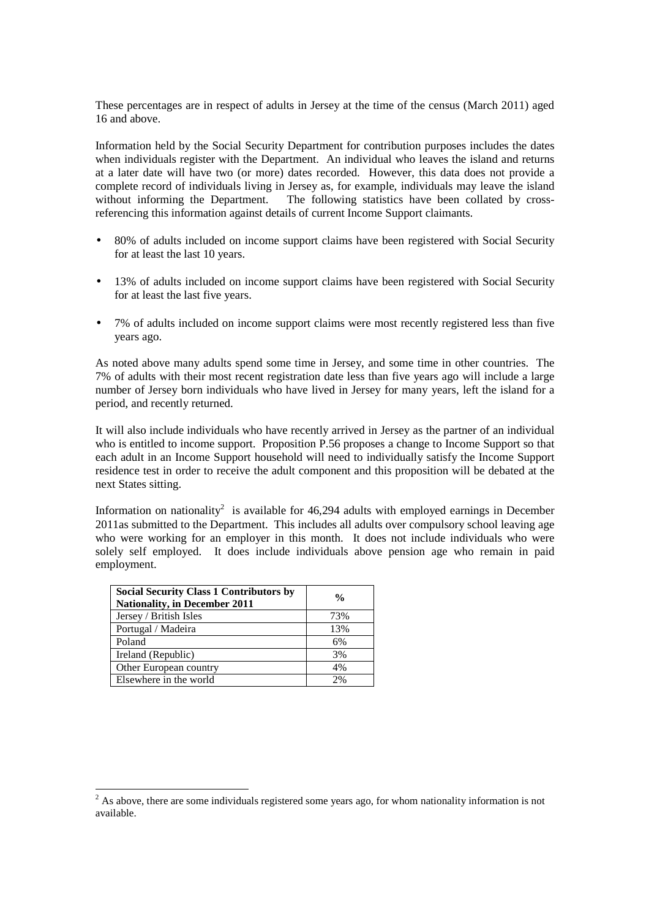These percentages are in respect of adults in Jersey at the time of the census (March 2011) aged 16 and above.

Information held by the Social Security Department for contribution purposes includes the dates when individuals register with the Department. An individual who leaves the island and returns at a later date will have two (or more) dates recorded. However, this data does not provide a complete record of individuals living in Jersey as, for example, individuals may leave the island without informing the Department. The following statistics have been collated by crossreferencing this information against details of current Income Support claimants.

- 80% of adults included on income support claims have been registered with Social Security for at least the last 10 years.
- 13% of adults included on income support claims have been registered with Social Security for at least the last five years.
- 7% of adults included on income support claims were most recently registered less than five years ago.

As noted above many adults spend some time in Jersey, and some time in other countries. The 7% of adults with their most recent registration date less than five years ago will include a large number of Jersey born individuals who have lived in Jersey for many years, left the island for a period, and recently returned.

It will also include individuals who have recently arrived in Jersey as the partner of an individual who is entitled to income support. Proposition P.56 proposes a change to Income Support so that each adult in an Income Support household will need to individually satisfy the Income Support residence test in order to receive the adult component and this proposition will be debated at the next States sitting.

Information on nationality<sup>2</sup> is available for 46,294 adults with employed earnings in December 2011as submitted to the Department. This includes all adults over compulsory school leaving age who were working for an employer in this month. It does not include individuals who were solely self employed. It does include individuals above pension age who remain in paid employment.

| <b>Social Security Class 1 Contributors by</b><br><b>Nationality, in December 2011</b> | $\frac{0}{0}$ |
|----------------------------------------------------------------------------------------|---------------|
| Jersey / British Isles                                                                 | 73%           |
| Portugal / Madeira                                                                     | 13%           |
| Poland                                                                                 | 6%            |
| Ireland (Republic)                                                                     | 3%            |
| Other European country                                                                 | 4%            |
| Elsewhere in the world                                                                 | 2%            |

<sup>&</sup>lt;sup>2</sup> As above, there are some individuals registered some years ago, for whom nationality information is not available.